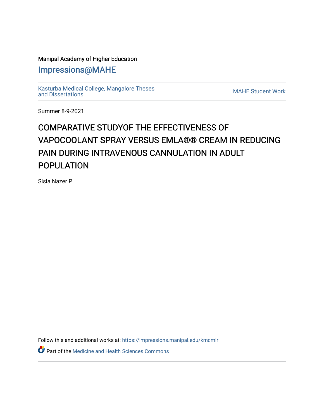## Manipal Academy of Higher Education

[Impressions@MAHE](https://impressions.manipal.edu/)

[Kasturba Medical College, Mangalore Theses](https://impressions.manipal.edu/kmcmlr) [and Dissertations](https://impressions.manipal.edu/kmcmlr) [MAHE Student Work](https://impressions.manipal.edu/student-work) 

Summer 8-9-2021

## COMPARATIVE STUDYOF THE EFFECTIVENESS OF VAPOCOOLANT SPRAY VERSUS EMLA®® CREAM IN REDUCING PAIN DURING INTRAVENOUS CANNULATION IN ADULT POPULATION

Sisla Nazer P

Follow this and additional works at: [https://impressions.manipal.edu/kmcmlr](https://impressions.manipal.edu/kmcmlr?utm_source=impressions.manipal.edu%2Fkmcmlr%2F249&utm_medium=PDF&utm_campaign=PDFCoverPages) 

**Part of the Medicine and Health Sciences Commons**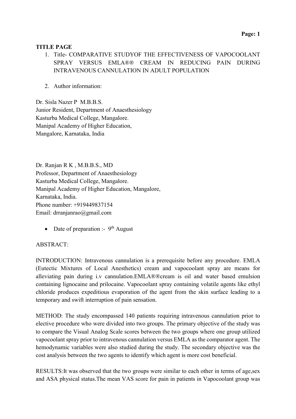## TITLE PAGE

- 1. Title- COMPARATIVE STUDYOF THE EFFECTIVENESS OF VAPOCOOLANT SPRAY VERSUS EMLA®® CREAM IN REDUCING PAIN DURING INTRAVENOUS CANNULATION IN ADULT POPULATION
- 2. Author information:

Dr. Sisla Nazer P M.B.B.S. Junior Resident, Department of Anaesthesiology Kasturba Medical College, Mangalore. Manipal Academy of Higher Education, Mangalore, Karnataka, India

Dr. Ranjan R K , M.B.B.S., MD Professor, Department of Anaesthesiology Kasturba Medical College, Mangalore. Manipal Academy of Higher Education, Mangalore, Karnataka, India. Phone number: +919449837154 Email: drranjanrao@gmail.com

• Date of preparation :-  $9<sup>th</sup>$  August

## ABSTRACT:

INTRODUCTION: Intravenous cannulation is a prerequisite before any procedure. EMLA (Eutectic Mixtures of Local Anesthetics) cream and vapocoolant spray are means for alleviating pain during i.v cannulation.EMLA®®cream is oil and water based emulsion containing lignocaine and prilocaine. Vapocoolant spray containing volatile agents like ethyl chloride produces expeditious evaporation of the agent from the skin surface leading to a temporary and swift interruption of pain sensation.

METHOD: The study encompassed 140 patients requiring intravenous cannulation prior to elective procedure who were divided into two groups. The primary objective of the study was to compare the Visual Analog Scale scores between the two groups where one group utilized vapocoolant spray prior to intravenous cannulation versus EMLA as the comparator agent. The hemodynamic variables were also studied during the study. The secondary objective was the cost analysis between the two agents to identify which agent is more cost beneficial.

RESULTS:It was observed that the two groups were similar to each other in terms of age,sex and ASA physical status.The mean VAS score for pain in patients in Vapocoolant group was